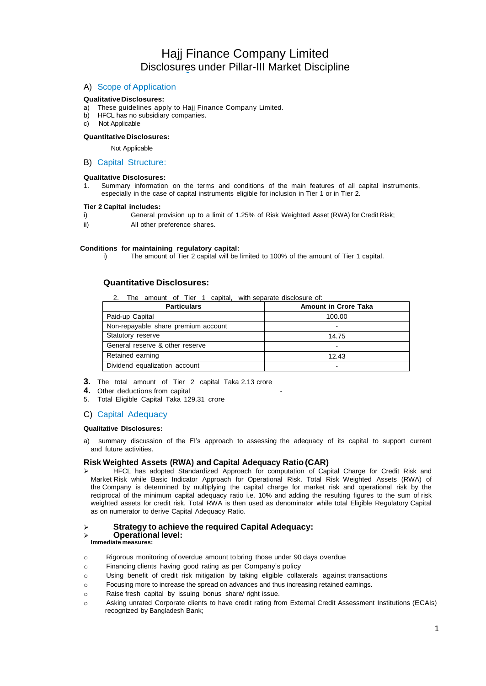# Hajj Finance Company Limited Disclosures under Pillar-III Market Discipline

## A) Scope of Application

## **QualitativeDisclosures:**

- a) These guidelines apply to Hajj Finance Company Limited.
- b) HFCL has no subsidiary companies.
- c) Not Applicable

## **Quantitative Disclosures:**

## Not Applicable

## B) Capital Structure:

## **Qualitative Disclosures:**

1. Summary information on the terms and conditions of the main features of all capital instruments, especially in the case of capital instruments eligible for inclusion in Tier 1 or in Tier 2.

## **Tier 2 Capital includes:**

- i) General provision up to a limit of 1.25% of Risk Weighted Asset (RWA) for Credit Risk;
- ii) All other preference shares.

## **Conditions for maintaining regulatory capital:**

i) The amount of Tier 2 capital will be limited to 100% of the amount of Tier 1 capital.

## **Quantitative Disclosures:**

2. The amount of Tier 1 capital, with separate disclosure of:

| <b>Particulars</b>                  | <b>Amount in Crore Taka</b> |
|-------------------------------------|-----------------------------|
| Paid-up Capital                     | 100.00                      |
| Non-repayable share premium account |                             |
| Statutory reserve                   | 14.75                       |
| General reserve & other reserve     |                             |
| Retained earning                    | 12.43                       |
| Dividend equalization account       |                             |

- **3.** The total amount of Tier 2 capital Taka 2.13 crore
- 4. Other deductions from capital
- 5. Total Eligible Capital Taka 129.31 crore

## C) Capital Adequacy

## **Qualitative Disclosures:**

a) summary discussion of the FI's approach to assessing the adequacy of its capital to support current and future activities.

## **Risk Weighted Assets (RWA) and Capital Adequacy Ratio (CAR)**

➢ HFCL has adopted Standardized Approach for computation of Capital Charge for Credit Risk and Market Risk while Basic Indicator Approach for Operational Risk. Total Risk Weighted Assets (RWA) of the Company is determined by multiplying the capital charge for market risk and operational risk by the reciprocal of the minimum capital adequacy ratio i.e. 10% and adding the resulting figures to the sum of risk weighted assets for credit risk. Total RWA is then used as denominator while total Eligible Regulatory Capital as on numerator to derive Capital Adequacy Ratio.

## ➢ **Strategy to achieve the required Capital Adequacy:**

## ➢ **Operational level:**

#### **Immediate measures:**

- o Rigorous monitoring of overdue amount to bring those under 90 days overdue
- o Financing clients having good rating as per Company's policy
- o Using benefit of credit risk mitigation by taking eligible collaterals against transactions
- o Focusing more to increase the spread on advances and thus increasing retained earnings.
- o Raise fresh capital by issuing bonus share/ right issue.
- o Asking unrated Corporate clients to have credit rating from External Credit Assessment Institutions (ECAIs) recognized by Bangladesh Bank;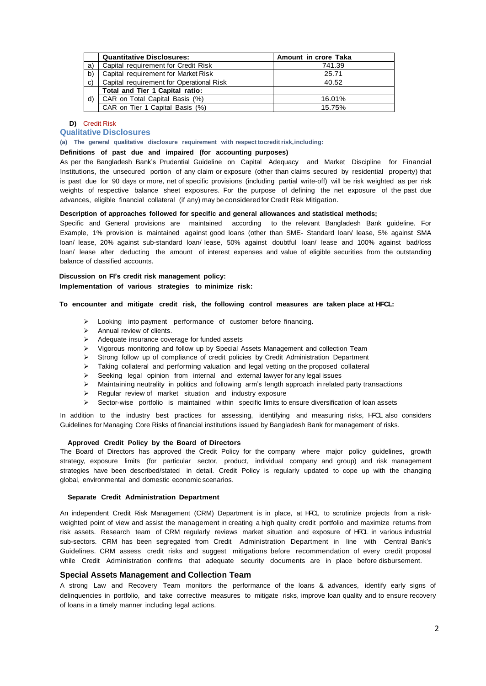|    | <b>Quantitative Disclosures:</b>         | Amount in crore Taka |
|----|------------------------------------------|----------------------|
| a) | Capital requirement for Credit Risk      | 741.39               |
| b) | Capital requirement for Market Risk      | 25.71                |
| C) | Capital requirement for Operational Risk | 40.52                |
|    | Total and Tier 1 Capital ratio:          |                      |
| d) | CAR on Total Capital Basis (%)           | 16.01%               |
|    | CAR on Tier 1 Capital Basis (%)          | 15.75%               |

## **D)** Credit Risk

## **Qualitative Disclosures**

**(a) The general qualitative disclosure requirement with respect tocreditrisk,including:**

## **Definitions of past due and impaired (for accounting purposes)**

As per the Bangladesh Bank's Prudential Guideline on Capital Adequacy and Market Discipline for Financial Institutions, the unsecured portion of any claim or exposure (other than claims secured by residential property) that is past due for 90 days or more, net of specific provisions (including partial write-off) will be risk weighted as per risk weights of respective balance sheet exposures. For the purpose of defining the net exposure of the past due advances, eligible financial collateral (if any) may be consideredfor Credit Risk Mitigation.

## **Description of approaches followed for specific and general allowances and statistical methods;**

Specific and General provisions are maintained according to the relevant Bangladesh Bank guideline. For Example, 1% provision is maintained against good loans (other than SME- Standard loan/ lease, 5% against SMA loan/ lease, 20% against sub-standard loan/ lease, 50% against doubtful loan/ lease and 100% against bad/loss loan/ lease after deducting the amount of interest expenses and value of eligible securities from the outstanding balance of classified accounts.

## **Discussion on FI's credit risk management policy: Implementation of various strategies to minimize risk:**

## **To encounter and mitigate credit risk, the following control measures are taken place at HFCL:**

- ➢ Looking into payment performance of customer before financing.
- ➢ Annual review of clients.
- ➢ Adequate insurance coverage for funded assets
- ➢ Vigorous monitoring and follow up by Special Assets Management and collection Team
- ➢ Strong follow up of compliance of credit policies by Credit Administration Department
- ➢ Taking collateral and performing valuation and legal vetting on the proposed collateral
- ➢ Seeking legal opinion from internal and external lawyer for any legal issues
- ➢ Maintaining neutrality in politics and following arm's length approach in related party transactions
- ➢ Regular review of market situation and industry exposure
- ➢ Sector-wise portfolio is maintained within specific limits to ensure diversification of loan assets

In addition to the industry best practices for assessing, identifying and measuring risks, HFCL also considers Guidelines for Managing Core Risks of financial institutions issued by Bangladesh Bank for management of risks.

#### **Approved Credit Policy by the Board of Directors**

The Board of Directors has approved the Credit Policy for the company where major policy guidelines, growth strategy, exposure limits (for particular sector, product, individual company and group) and risk management strategies have been described/stated in detail. Credit Policy is regularly updated to cope up with the changing global, environmental and domestic economic scenarios.

## **Separate Credit Administration Department**

An independent Credit Risk Management (CRM) Department is in place, at HFCL, to scrutinize projects from a riskweighted point of view and assist the management in creating a high quality credit portfolio and maximize returns from risk assets. Research team of CRM regularly reviews market situation and exposure of HFCL in various industrial sub-sectors. CRM has been segregated from Credit Administration Department in line with Central Bank's Guidelines. CRM assess credit risks and suggest mitigations before recommendation of every credit proposal while Credit Administration confirms that adequate security documents are in place before disbursement.

## **Special Assets Management and Collection Team**

A strong Law and Recovery Team monitors the performance of the loans & advances, identify early signs of delinquencies in portfolio, and take corrective measures to mitigate risks, improve loan quality and to ensure recovery of loans in a timely manner including legal actions.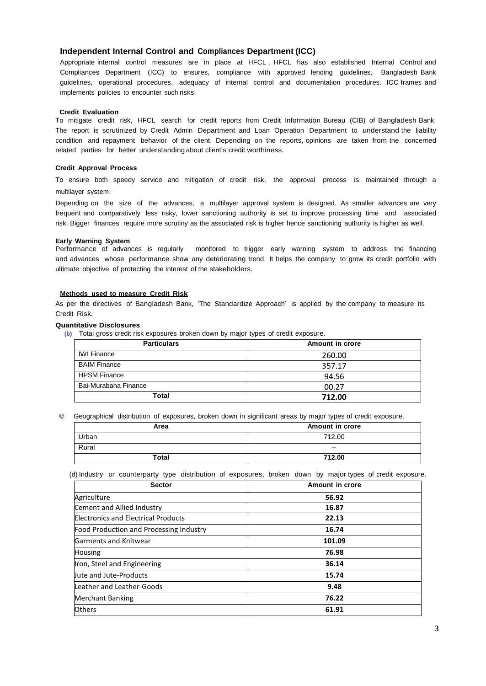## **Independent Internal Control and Compliances Department (ICC)**

Appropriate internal control measures are in place at HFCL . HFCL has also established Internal Control and Compliances Department (ICC) to ensures, compliance with approved lending guidelines, Bangladesh Bank guidelines, operational procedures, adequacy of internal control and documentation procedures. ICC frames and implements policies to encounter such risks.

## **Credit Evaluation**

To mitigate credit risk, HFCL search for credit reports from Credit Information Bureau (CIB) of Bangladesh Bank. The report is scrutinized by Credit Admin Department and Loan Operation Department to understand the liability condition and repayment behavior of the client. Depending on the reports, opinions are taken from the concerned related parties for better understanding about client's credit worthiness.

## **Credit Approval Process**

To ensure both speedy service and mitigation of credit risk, the approval process is maintained through a multilayer system.

Depending on the size of the advances, a multilayer approval system is designed. As smaller advances are very frequent and comparatively less risky, lower sanctioning authority is set to improve processing time and associated risk. Bigger finances require more scrutiny as the associated risk is higher hence sanctioning authority is higher as well.

**Early Warning System** monitored to trigger early warning system to address the financing and advances whose performance show any deteriorating trend. It helps the company to grow its credit portfolio with ultimate objective of protecting the interest of the stakeholders.

## **Methods used to measure Credit Risk**

As per the directives of Bangladesh Bank, 'The Standardize Approach' is applied by the company to measure its Credit Risk.

## **Quantitative Disclosures**

**(b)** Total gross credit risk exposures broken down by major types of credit exposure.

| <b>Particulars</b>   | Amount in crore |
|----------------------|-----------------|
| <b>IWI Finance</b>   | 260.00          |
| <b>BAIM Finance</b>  | 357.17          |
| <b>HPSM Finance</b>  | 94.56           |
| Bai-Murabaha Finance | 00.27           |
| Total                | 712.00          |

© Geographical distribution of exposures, broken down in significant areas by major types of credit exposure.

| Area  | Amount in crore          |
|-------|--------------------------|
| Urban | 712.00                   |
| Rural | $\overline{\phantom{a}}$ |
| Total | 712.00                   |

(d) Industry or counterparty type distribution of exposures, broken down by major types of credit exposure.

| <b>Sector</b>                              | Amount in crore |
|--------------------------------------------|-----------------|
| Agriculture                                | 56.92           |
| Cement and Allied Industry                 | 16.87           |
| <b>Electronics and Electrical Products</b> | 22.13           |
| Food Production and Processing Industry    | 16.74           |
| Garments and Knitwear                      | 101.09          |
| <b>Housing</b>                             | 76.98           |
| Iron, Steel and Engineering                | 36.14           |
| <b>Uute and Jute-Products</b>              | 15.74           |
| Leather and Leather-Goods                  | 9.48            |
| <b>Merchant Banking</b>                    | 76.22           |
| <b>Others</b>                              | 61.91           |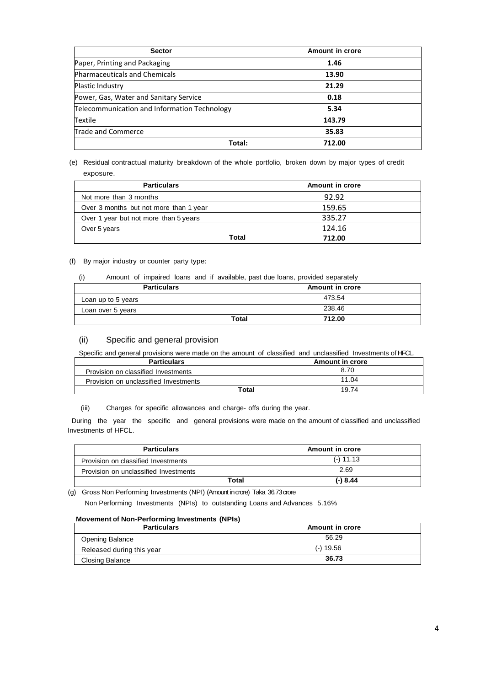| <b>Sector</b>                                | Amount in crore |
|----------------------------------------------|-----------------|
| Paper, Printing and Packaging                | 1.46            |
| <b>Pharmaceuticals and Chemicals</b>         | 13.90           |
| Plastic Industry                             | 21.29           |
| Power, Gas, Water and Sanitary Service       | 0.18            |
| Telecommunication and Information Technology | 5.34            |
| Textile                                      | 143.79          |
| Trade and Commerce                           | 35.83           |
| Total:                                       | 712.00          |

(e) Residual contractual maturity breakdown of the whole portfolio, broken down by major types of credit exposure.

| <b>Particulars</b>                     | Amount in crore |
|----------------------------------------|-----------------|
| Not more than 3 months                 | 92.92           |
| Over 3 months but not more than 1 year | 159.65          |
| Over 1 year but not more than 5 years  | 335.27          |
| Over 5 years                           | 124.16          |
| Total                                  | 712.00          |

(f) By major industry or counter party type:

| (i)<br>Amount of impaired loans and if available, past due loans, provided separately |
|---------------------------------------------------------------------------------------|
|---------------------------------------------------------------------------------------|

| <b>Particulars</b> | Amount in crore |
|--------------------|-----------------|
| Loan up to 5 years | 473.54          |
| Loan over 5 years  | 238.46          |
| Total              | 712.00          |

## (ii) Specific and general provision

Specific and general provisions were made on the amount of classified and unclassified Investments of HFCL.

| <b>Particulars</b>                    | <b>Amount in crore</b> |
|---------------------------------------|------------------------|
| Provision on classified Investments   | 8.70                   |
| Provision on unclassified Investments | 11.04                  |
| Total                                 | 19.74                  |

(iii) Charges for specific allowances and charge- offs during the year.

During the year the specific and general provisions were made on the amount of classified and unclassified Investments of HFCL.

| <b>Particulars</b>                    | Amount in crore |
|---------------------------------------|-----------------|
| Provision on classified Investments   | $(-) 11.13$     |
| Provision on unclassified Investments | 2.69            |
| Total                                 | $(-) 8.44$      |

(g) Gross Non Performing Investments (NPI) (Amount incrore) Taka 36.73crore

Non Performing Investments (NPIs) to outstanding Loans and Advances 5.16%

## **Movement of Non-Performing Investments (NPIs)**

| <b>Particulars</b>        | Amount in crore |
|---------------------------|-----------------|
| Opening Balance           | 56.29           |
| Released during this year | $(-)$ 19.56     |
| Closing Balance           | 36.73           |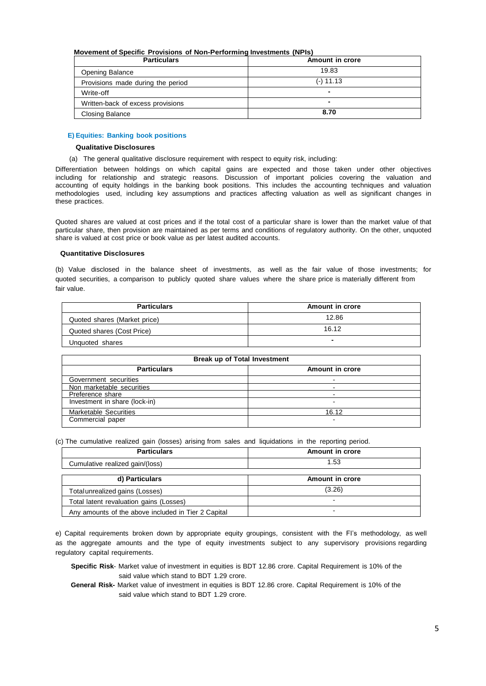#### **Movement of Specific Provisions of Non-Performing Investments (NPIs)**

| <b>Particulars</b>                | Amount in crore |
|-----------------------------------|-----------------|
| Opening Balance                   | 19.83           |
| Provisions made during the period | $(-)$ 11.13     |
| Write-off                         | -               |
| Written-back of excess provisions | -               |
| <b>Closing Balance</b>            | 8.70            |

## **E) Equities: Banking book positions**

## **Qualitative Disclosures**

(a) The general qualitative disclosure requirement with respect to equity risk, including:

Differentiation between holdings on which capital gains are expected and those taken under other objectives including for relationship and strategic reasons. Discussion of important policies covering the valuation and accounting of equity holdings in the banking book positions. This includes the accounting techniques and valuation methodologies used, including key assumptions and practices affecting valuation as well as significant changes in these practices.

Quoted shares are valued at cost prices and if the total cost of a particular share is lower than the market value of that particular share, then provision are maintained as per terms and conditions of regulatory authority. On the other, unquoted share is valued at cost price or book value as per latest audited accounts.

## **Quantitative Disclosures**

(b) Value disclosed in the balance sheet of investments, as well as the fair value of those investments; for quoted securities, a comparison to publicly quoted share values where the share price is materially different from fair value.

| <b>Particulars</b>           | Amount in crore |
|------------------------------|-----------------|
| Quoted shares (Market price) | 12.86           |
| Quoted shares (Cost Price)   | 16.12           |
| Unguoted shares              | $\blacksquare$  |

| <b>Break up of Total Investment</b> |                 |  |
|-------------------------------------|-----------------|--|
| <b>Particulars</b>                  | Amount in crore |  |
| Government securities               |                 |  |
| Non marketable securities           |                 |  |
| Preference share                    |                 |  |
| Investment in share (lock-in)       | -               |  |
| <b>Marketable Securities</b>        | 16.12           |  |
| Commercial paper                    |                 |  |

(c) The cumulative realized gain (losses) arising from sales and liquidations in the reporting period.

| <b>Particulars</b>                                  | Amount in crore          |
|-----------------------------------------------------|--------------------------|
| Cumulative realized gain/(loss)                     | 1.53                     |
| d) Particulars                                      | Amount in crore          |
| Total unrealized gains (Losses)                     | (3.26)                   |
| Total latent revaluation gains (Losses)             | $\overline{\phantom{0}}$ |
| Any amounts of the above included in Tier 2 Capital | ۰                        |

e) Capital requirements broken down by appropriate equity groupings, consistent with the FI's methodology, as well as the aggregate amounts and the type of equity investments subject to any supervisory provisions regarding regulatory capital requirements.

**General Risk-** Market value of investment in equities is BDT 12.86 crore. Capital Requirement is 10% of the said value which stand to BDT 1.29 crore.

**Specific Risk**- Market value of investment in equities is BDT 12.86 crore. Capital Requirement is 10% of the said value which stand to BDT 1.29 crore.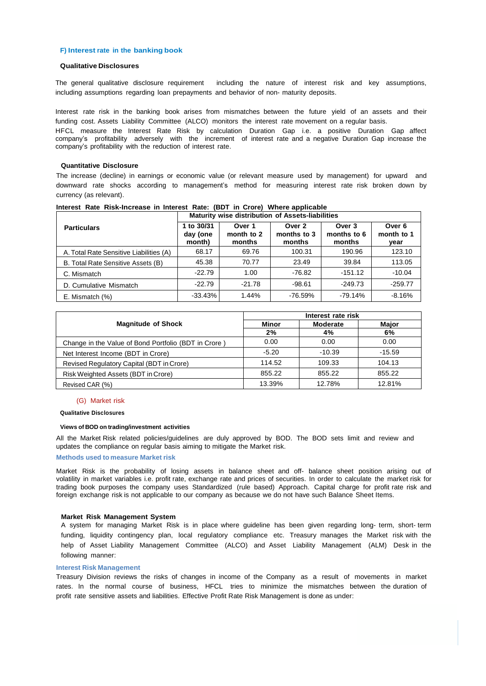#### **F) Interest rate in the banking book**

## **Qualitative Disclosures**

The general qualitative disclosure requirement including the nature of interest risk and key assumptions, including assumptions regarding loan prepayments and behavior of non- maturity deposits.

Interest rate risk in the banking book arises from mismatches between the future yield of an assets and their funding cost. Assets Liability Committee (ALCO) monitors the interest rate movement on a regular basis.

HFCL measure the Interest Rate Risk by calculation Duration Gap i.e. a positive Duration Gap affect company's profitability adversely with the increment of interest rate and a negative Duration Gap increase the company's profitability with the reduction of interest rate.

## **Quantitative Disclosure**

The increase (decline) in earnings or economic value (or relevant measure used by management) for upward and downward rate shocks according to management's method for measuring interest rate risk broken down by currency (as relevant).

|                                         | Maturity wise distribution of Assets-liabilities |                                |                                 |                                 |                                         |
|-----------------------------------------|--------------------------------------------------|--------------------------------|---------------------------------|---------------------------------|-----------------------------------------|
| <b>Particulars</b>                      | 1 to 30/31<br>day (one<br>month)                 | Over 1<br>month to 2<br>months | Over 2<br>months to 3<br>months | Over 3<br>months to 6<br>months | Over <sub>6</sub><br>month to 1<br>vear |
| A. Total Rate Sensitive Liabilities (A) | 68.17                                            | 69.76                          | 100.31                          | 190.96                          | 123.10                                  |
| B. Total Rate Sensitive Assets (B)      | 45.38                                            | 70.77                          | 23.49                           | 39.84                           | 113.05                                  |
| C. Mismatch                             | $-22.79$                                         | 1.00                           | $-76.82$                        | $-151.12$                       | $-10.04$                                |
| D. Cumulative Mismatch                  | $-22.79$                                         | $-21.78$                       | $-98.61$                        | $-249.73$                       | $-259.77$                               |
| $E.$ Mismatch $(\%)$                    | $-33.43%$                                        | 1.44%                          | $-76.59%$                       | $-79.14%$                       | $-8.16%$                                |

**Interest Rate Risk-Increase in Interest Rate: (BDT in Crore) Where applicable**

|                                                      | Interest rate risk |          |              |  |
|------------------------------------------------------|--------------------|----------|--------------|--|
| <b>Magnitude of Shock</b>                            | Minor              | Moderate | <b>Maior</b> |  |
|                                                      | 2%                 | 4%       | 6%           |  |
| Change in the Value of Bond Portfolio (BDT in Crore) | 0.00               | 0.00     | 0.00         |  |
| Net Interest Income (BDT in Crore)                   | $-5.20$            | $-10.39$ | $-15.59$     |  |
| Revised Regulatory Capital (BDT in Crore)            | 114.52             | 109.33   | 104.13       |  |
| Risk Weighted Assets (BDT in Crore)                  | 855.22             | 855.22   | 855.22       |  |
| Revised CAR (%)                                      | 13.39%             | 12.78%   | 12.81%       |  |

#### (G) Market risk

**Qualitative Disclosures**

#### **Views of BOD on trading/investment activities**

All the Market Risk related policies/guidelines are duly approved by BOD. The BOD sets limit and review and updates the compliance on regular basis aiming to mitigate the Market risk.

#### **Methods used to measure Market risk**

Market Risk is the probability of losing assets in balance sheet and off- balance sheet position arising out of volatility in market variables i.e. profit rate, exchange rate and prices of securities. In order to calculate the market risk for trading book purposes the company uses Standardized (rule based) Approach. Capital charge for profit rate risk and foreign exchange risk is not applicable to our company as because we do not have such Balance Sheet Items.

#### **Market Risk Management System**

A system for managing Market Risk is in place where guideline has been given regarding long- term, short- term funding, liquidity contingency plan, local regulatory compliance etc. Treasury manages the Market risk with the help of Asset Liability Management Committee (ALCO) and Asset Liability Management (ALM) Desk in the following manner:

#### **Interest Risk Management**

Treasury Division reviews the risks of changes in income of the Company as a result of movements in market rates. In the normal course of business, HFCL tries to minimize the mismatches between the duration of profit rate sensitive assets and liabilities. Effective Profit Rate Risk Management is done as under: